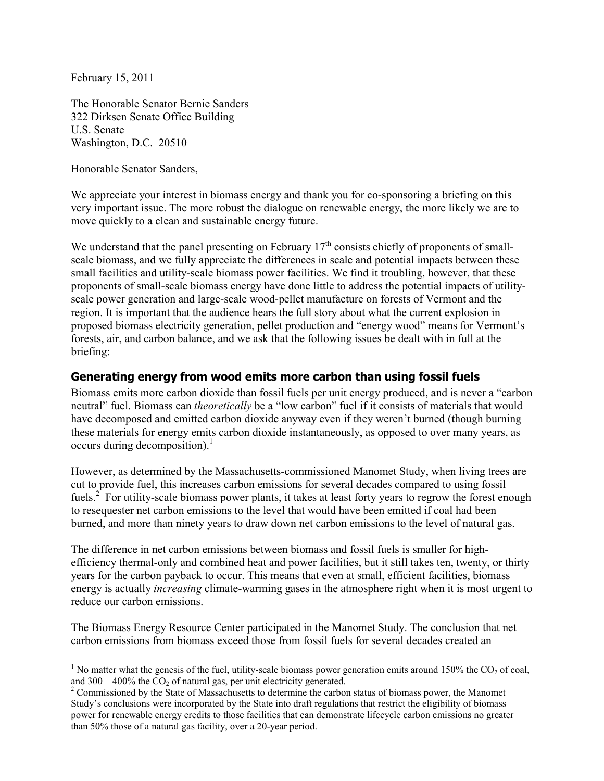February 15, 2011

The Honorable Senator Bernie Sanders 322 Dirksen Senate Office Building U.S. Senate Washington, D.C. 20510

Honorable Senator Sanders,

We appreciate your interest in biomass energy and thank you for co-sponsoring a briefing on this very important issue. The more robust the dialogue on renewable energy, the more likely we are to move quickly to a clean and sustainable energy future.

We understand that the panel presenting on February  $17<sup>th</sup>$  consists chiefly of proponents of smallscale biomass, and we fully appreciate the differences in scale and potential impacts between these small facilities and utility-scale biomass power facilities. We find it troubling, however, that these proponents of small-scale biomass energy have done little to address the potential impacts of utilityscale power generation and large-scale wood-pellet manufacture on forests of Vermont and the region. It is important that the audience hears the full story about what the current explosion in proposed biomass electricity generation, pellet production and "energy wood" means for Vermont's forests, air, and carbon balance, and we ask that the following issues be dealt with in full at the briefing:

#### **Generating energy from wood emits more carbon than using fossil fuels**

Biomass emits more carbon dioxide than fossil fuels per unit energy produced, and is never a "carbon neutral" fuel. Biomass can *theoretically* be a "low carbon" fuel if it consists of materials that would have decomposed and emitted carbon dioxide anyway even if they weren't burned (though burning these materials for energy emits carbon dioxide instantaneously, as opposed to over many years, as occurs during decomposition). $<sup>1</sup>$ </sup>

However, as determined by the Massachusetts-commissioned Manomet Study, when living trees are cut to provide fuel, this increases carbon emissions for several decades compared to using fossil fuels.<sup>2</sup> For utility-scale biomass power plants, it takes at least forty years to regrow the forest enough to resequester net carbon emissions to the level that would have been emitted if coal had been burned, and more than ninety years to draw down net carbon emissions to the level of natural gas.

The difference in net carbon emissions between biomass and fossil fuels is smaller for highefficiency thermal-only and combined heat and power facilities, but it still takes ten, twenty, or thirty years for the carbon payback to occur. This means that even at small, efficient facilities, biomass energy is actually *increasing* climate-warming gases in the atmosphere right when it is most urgent to reduce our carbon emissions.

The Biomass Energy Resource Center participated in the Manomet Study. The conclusion that net carbon emissions from biomass exceed those from fossil fuels for several decades created an

<sup>&</sup>lt;sup>1</sup> No matter what the genesis of the fuel, utility-scale biomass power generation emits around 150% the CO<sub>2</sub> of coal, and  $300 - 400\%$  the  $CO<sub>2</sub>$  of natural gas, per unit electricity generated.

<sup>&</sup>lt;sup>2</sup> Commissioned by the State of Massachusetts to determine the carbon status of biomass power, the Manomet Study's conclusions were incorporated by the State into draft regulations that restrict the eligibility of biomass power for renewable energy credits to those facilities that can demonstrate lifecycle carbon emissions no greater than 50% those of a natural gas facility, over a 20-year period.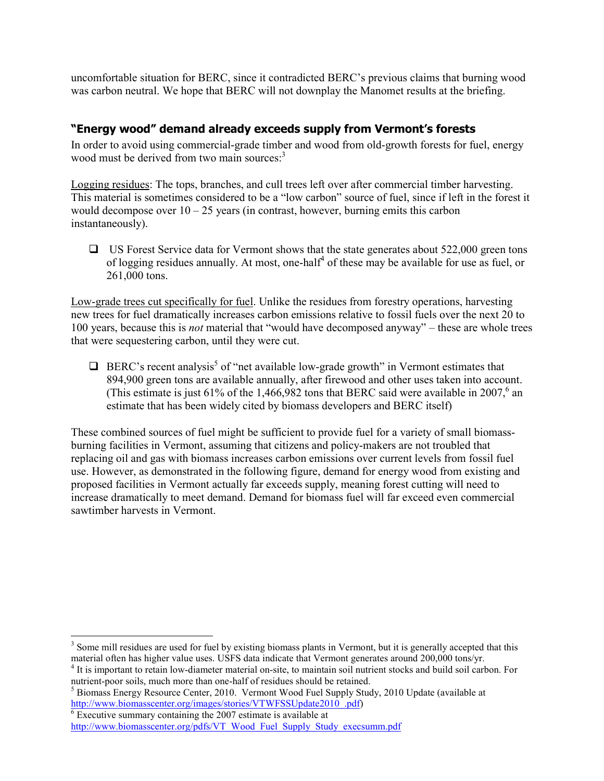uncomfortable situation for BERC, since it contradicted BERC's previous claims that burning wood was carbon neutral. We hope that BERC will not downplay the Manomet results at the briefing.

### **"Energy wood" demand already exceeds supply from Vermont's forests**

In order to avoid using commercial-grade timber and wood from old-growth forests for fuel, energy wood must be derived from two main sources:<sup>3</sup>

Logging residues: The tops, branches, and cull trees left over after commercial timber harvesting. This material is sometimes considered to be a "low carbon" source of fuel, since if left in the forest it would decompose over  $10 - 25$  years (in contrast, however, burning emits this carbon instantaneously).

 $\Box$  US Forest Service data for Vermont shows that the state generates about 522,000 green tons of logging residues annually. At most, one-half<sup>4</sup> of these may be available for use as fuel, or 261,000 tons.

Low-grade trees cut specifically for fuel. Unlike the residues from forestry operations, harvesting new trees for fuel dramatically increases carbon emissions relative to fossil fuels over the next 20 to 100 years, because this is *not* material that "would have decomposed anyway" – these are whole trees that were sequestering carbon, until they were cut.

 $\Box$  BERC's recent analysis<sup>5</sup> of "net available low-grade growth" in Vermont estimates that 894,900 green tons are available annually, after firewood and other uses taken into account. (This estimate is just 61% of the 1,466,982 tons that BERC said were available in 2007,<sup>6</sup> an estimate that has been widely cited by biomass developers and BERC itself)

These combined sources of fuel might be sufficient to provide fuel for a variety of small biomassburning facilities in Vermont, assuming that citizens and policy-makers are not troubled that replacing oil and gas with biomass increases carbon emissions over current levels from fossil fuel use. However, as demonstrated in the following figure, demand for energy wood from existing and proposed facilities in Vermont actually far exceeds supply, meaning forest cutting will need to increase dramatically to meet demand. Demand for biomass fuel will far exceed even commercial sawtimber harvests in Vermont.

 $\overline{a}$ 

<sup>&</sup>lt;sup>3</sup> Some mill residues are used for fuel by existing biomass plants in Vermont, but it is generally accepted that this material often has higher value uses. USFS data indicate that Vermont generates around 200,000 tons/yr.

<sup>&</sup>lt;sup>4</sup> It is important to retain low-diameter material on-site, to maintain soil nutrient stocks and build soil carbon. For nutrient-poor soils, much more than one-half of residues should be retained.

<sup>&</sup>lt;sup>5</sup> Biomass Energy Resource Center, 2010. Vermont Wood Fuel Supply Study, 2010 Update (available at http://www.biomasscenter.org/images/stories/VTWFSSUpdate2010\_pdf)<br><sup>6</sup> Executive summary containing the 2007 estimate is available at

http://www.biomasscenter.org/pdfs/VT\_Wood\_Fuel\_Supply\_Study\_execsumm.pdf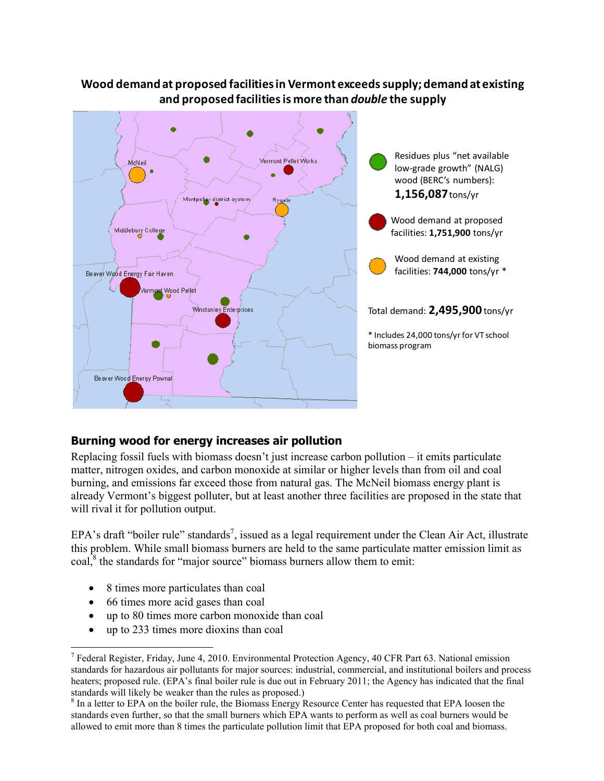# **Wood demand at proposed facilities in Vermont exceeds supply; demand at existing and proposed facilities is more than** *double* **the supply**



## **Burning wood for energy increases air pollution**

Replacing fossil fuels with biomass doesn't just increase carbon pollution – it emits particulate matter, nitrogen oxides, and carbon monoxide at similar or higher levels than from oil and coal burning, and emissions far exceed those from natural gas. The McNeil biomass energy plant is already Vermont's biggest polluter, but at least another three facilities are proposed in the state that will rival it for pollution output.

EPA's draft "boiler rule" standards<sup>7</sup>, issued as a legal requirement under the Clean Air Act, illustrate this problem. While small biomass burners are held to the same particulate matter emission limit as coal, $\delta$  the standards for "major source" biomass burners allow them to emit:

- 8 times more particulates than coal
- 66 times more acid gases than coal

-

- up to 80 times more carbon monoxide than coal
- up to 233 times more dioxins than coal

<sup>&</sup>lt;sup>7</sup> Federal Register, Friday, June 4, 2010. Environmental Protection Agency, 40 CFR Part 63. National emission standards for hazardous air pollutants for major sources: industrial, commercial, and institutional boilers and process heaters; proposed rule. (EPA's final boiler rule is due out in February 2011; the Agency has indicated that the final standards will likely be weaker than the rules as proposed.)

<sup>&</sup>lt;sup>8</sup> In a letter to EPA on the boiler rule, the Biomass Energy Resource Center has requested that EPA loosen the standards even further, so that the small burners which EPA wants to perform as well as coal burners would be allowed to emit more than 8 times the particulate pollution limit that EPA proposed for both coal and biomass.